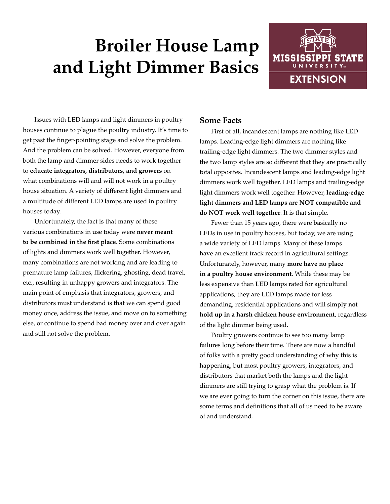## **Broiler House Lamp and Light Dimmer Basics**



Issues with LED lamps and light dimmers in poultry houses continue to plague the poultry industry. It's time to get past the finger-pointing stage and solve the problem. And the problem can be solved. However, everyone from both the lamp and dimmer sides needs to work together to **educate integrators, distributors, and growers** on what combinations will and will not work in a poultry house situation. A variety of different light dimmers and a multitude of different LED lamps are used in poultry houses today.

Unfortunately, the fact is that many of these various combinations in use today were **never meant to be combined in the first place**. Some combinations of lights and dimmers work well together. However, many combinations are not working and are leading to premature lamp failures, flickering, ghosting, dead travel, etc., resulting in unhappy growers and integrators. The main point of emphasis that integrators, growers, and distributors must understand is that we can spend good money once, address the issue, and move on to something else, or continue to spend bad money over and over again and still not solve the problem.

## **Some Facts**

First of all, incandescent lamps are nothing like LED lamps. Leading-edge light dimmers are nothing like trailing-edge light dimmers. The two dimmer styles and the two lamp styles are so different that they are practically total opposites. Incandescent lamps and leading-edge light dimmers work well together. LED lamps and trailing-edge light dimmers work well together. However, **leading-edge light dimmers and LED lamps are NOT compatible and do NOT work well together**. It is that simple.

Fewer than 15 years ago, there were basically no LEDs in use in poultry houses, but today, we are using a wide variety of LED lamps. Many of these lamps have an excellent track record in agricultural settings. Unfortunately, however, many **more have no place in a poultry house environment**. While these may be less expensive than LED lamps rated for agricultural applications, they are LED lamps made for less demanding, residential applications and will simply **not hold up in a harsh chicken house environment**, regardless of the light dimmer being used.

Poultry growers continue to see too many lamp failures long before their time. There are now a handful of folks with a pretty good understanding of why this is happening, but most poultry growers, integrators, and distributors that market both the lamps and the light dimmers are still trying to grasp what the problem is. If we are ever going to turn the corner on this issue, there are some terms and definitions that all of us need to be aware of and understand.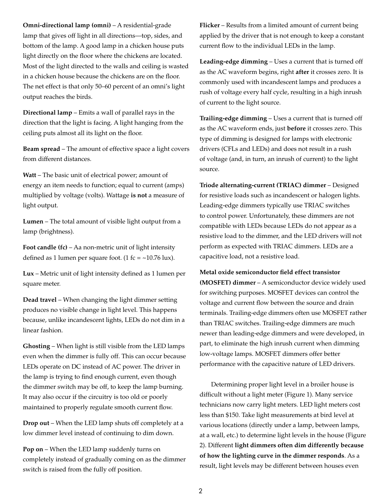**Omni-directional lamp (omni)** – A residential-grade lamp that gives off light in all directions—top, sides, and bottom of the lamp. A good lamp in a chicken house puts light directly on the floor where the chickens are located. Most of the light directed to the walls and ceiling is wasted in a chicken house because the chickens are on the floor. The net effect is that only 50–60 percent of an omni's light output reaches the birds.

**Directional lamp** – Emits a wall of parallel rays in the direction that the light is facing. A light hanging from the ceiling puts almost all its light on the floor.

**Beam spread** – The amount of effective space a light covers from different distances.

**Watt** – The basic unit of electrical power; amount of energy an item needs to function; equal to current (amps) multiplied by voltage (volts). Wattage **is not** a measure of light output.

**Lumen** – The total amount of visible light output from a lamp (brightness).

**Foot candle (fc)** – Aa non-metric unit of light intensity defined as 1 lumen per square foot. (1 fc =  $\sim$ 10.76 lux).

**Lux** – Metric unit of light intensity defined as 1 lumen per square meter.

**Dead travel** – When changing the light dimmer setting produces no visible change in light level. This happens because, unlike incandescent lights, LEDs do not dim in a linear fashion.

**Ghosting** – When light is still visible from the LED lamps even when the dimmer is fully off. This can occur because LEDs operate on DC instead of AC power. The driver in the lamp is trying to find enough current, even though the dimmer switch may be off, to keep the lamp burning. It may also occur if the circuitry is too old or poorly maintained to properly regulate smooth current flow.

**Drop out** – When the LED lamp shuts off completely at a low dimmer level instead of continuing to dim down.

**Pop on** – When the LED lamp suddenly turns on completely instead of gradually coming on as the dimmer switch is raised from the fully off position.

**Flicker** – Results from a limited amount of current being applied by the driver that is not enough to keep a constant current flow to the individual LEDs in the lamp.

**Leading-edge dimming** – Uses a current that is turned off as the AC waveform begins, right **after** it crosses zero. It is commonly used with incandescent lamps and produces a rush of voltage every half cycle, resulting in a high inrush of current to the light source.

**Trailing-edge dimming** – Uses a current that is turned off as the AC waveform ends, just **before** it crosses zero. This type of dimming is designed for lamps with electronic drivers (CFLs and LEDs) and does not result in a rush of voltage (and, in turn, an inrush of current) to the light source.

**Triode alternating-current (TRIAC) dimmer** – Designed for resistive loads such as incandescent or halogen lights. Leading-edge dimmers typically use TRIAC switches to control power. Unfortunately, these dimmers are not compatible with LEDs because LEDs do not appear as a resistive load to the dimmer, and the LED drivers will not perform as expected with TRIAC dimmers. LEDs are a capacitive load, not a resistive load.

**Metal oxide semiconductor field effect transistor (MOSFET) dimmer** – A semiconductor device widely used for switching purposes. MOSFET devices can control the voltage and current flow between the source and drain terminals. Trailing-edge dimmers often use MOSFET rather than TRIAC switches. Trailing-edge dimmers are much newer than leading-edge dimmers and were developed, in part, to eliminate the high inrush current when dimming low-voltage lamps. MOSFET dimmers offer better performance with the capacitive nature of LED drivers.

Determining proper light level in a broiler house is difficult without a light meter (Figure 1). Many service technicians now carry light meters. LED light meters cost less than \$150. Take light measurements at bird level at various locations (directly under a lamp, between lamps, at a wall, etc.) to determine light levels in the house (Figure 2). Different **light dimmers often dim differently because of how the lighting curve in the dimmer responds**. As a result, light levels may be different between houses even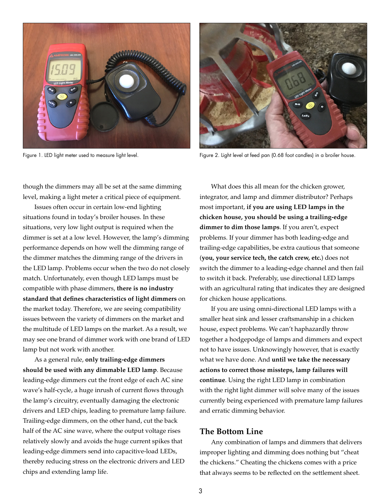



Figure 1. LED light meter used to measure light level. Figure 2. Light level at feed pan (0.68 foot candles) in a broiler house.

though the dimmers may all be set at the same dimming level, making a light meter a critical piece of equipment.

Issues often occur in certain low-end lighting situations found in today's broiler houses. In these situations, very low light output is required when the dimmer is set at a low level. However, the lamp's dimming performance depends on how well the dimming range of the dimmer matches the dimming range of the drivers in the LED lamp. Problems occur when the two do not closely match. Unfortunately, even though LED lamps must be compatible with phase dimmers, **there is no industry standard that defines characteristics of light dimmers** on the market today. Therefore, we are seeing compatibility issues between the variety of dimmers on the market and the multitude of LED lamps on the market. As a result, we may see one brand of dimmer work with one brand of LED lamp but not work with another.

As a general rule, **only trailing-edge dimmers should be used with any dimmable LED lamp**. Because leading-edge dimmers cut the front edge of each AC sine wave's half-cycle, a huge inrush of current flows through the lamp's circuitry, eventually damaging the electronic drivers and LED chips, leading to premature lamp failure. Trailing-edge dimmers, on the other hand, cut the back half of the AC sine wave, where the output voltage rises relatively slowly and avoids the huge current spikes that leading-edge dimmers send into capacitive-load LEDs, thereby reducing stress on the electronic drivers and LED chips and extending lamp life.

What does this all mean for the chicken grower, integrator, and lamp and dimmer distributor? Perhaps most important, **if you are using LED lamps in the chicken house, you should be using a trailing-edge dimmer to dim those lamps**. If you aren't, expect problems. If your dimmer has both leading-edge and trailing-edge capabilities, be extra cautious that someone (**you, your service tech, the catch crew, etc.**) does not switch the dimmer to a leading-edge channel and then fail to switch it back. Preferably, use directional LED lamps with an agricultural rating that indicates they are designed for chicken house applications.

If you are using omni-directional LED lamps with a smaller heat sink and lesser craftsmanship in a chicken house, expect problems. We can't haphazardly throw together a hodgepodge of lamps and dimmers and expect not to have issues. Unknowingly however, that is exactly what we have done. And **until we take the necessary actions to correct those missteps, lamp failures will continue**. Using the right LED lamp in combination with the right light dimmer will solve many of the issues currently being experienced with premature lamp failures and erratic dimming behavior.

## **The Bottom Line**

Any combination of lamps and dimmers that delivers improper lighting and dimming does nothing but "cheat the chickens." Cheating the chickens comes with a price that always seems to be reflected on the settlement sheet.